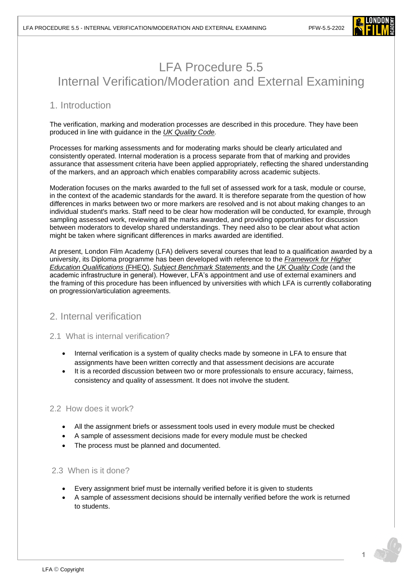

# LFA Procedure 5.5 Internal Verification/Moderation and External Examining

# 1. Introduction

The verification, marking and moderation processes are described in this procedure. They have been produced in line with guidance in the *UK Quality Code.*

Processes for marking assessments and for moderating marks should be clearly articulated and consistently operated. Internal moderation is a process separate from that of marking and provides assurance that assessment criteria have been applied appropriately, reflecting the shared understanding of the markers, and an approach which enables comparability across academic subjects.

Moderation focuses on the marks awarded to the full set of assessed work for a task, module or course, in the context of the academic standards for the award. It is therefore separate from the question of how differences in marks between two or more markers are resolved and is not about making changes to an individual student's marks. Staff need to be clear how moderation will be conducted, for example, through sampling assessed work, reviewing all the marks awarded, and providing opportunities for discussion between moderators to develop shared understandings. They need also to be clear about what action might be taken where significant differences in marks awarded are identified.

At present, London Film Academy (LFA) delivers several courses that lead to a qualification awarded by a university, its Diploma programme has been developed with reference to the *[Framework for Higher](chrome-extension://efaidnbmnnnibpcajpcglclefindmkaj/viewer.html?pdfurl=https%3A%2F%2Fwww.qaa.ac.uk%2Fdocs%2Fqaa%2Fquality-code%2Fqualifications-frameworks.pdf&clen=251859&chunk=true)  [Education Qualifications](chrome-extension://efaidnbmnnnibpcajpcglclefindmkaj/viewer.html?pdfurl=https%3A%2F%2Fwww.qaa.ac.uk%2Fdocs%2Fqaa%2Fquality-code%2Fqualifications-frameworks.pdf&clen=251859&chunk=true)* (FHEQ), *[Subject Benchmark Statements](https://www.qaa.ac.uk/quality-code/subject-benchmark-statements)* and the *[UK Quality Code](https://www.qaa.ac.uk/quality-code)* (and the academic infrastructure in general). However, LFA's appointment and use of external examiners and the framing of this procedure has been influenced by universities with which LFA is currently collaborating on progression/articulation agreements.

# 2. Internal verification

# 2.1 What is internal verification?

- Internal verification is a system of quality checks made by someone in LFA to ensure that assignments have been written correctly and that assessment decisions are accurate
- It is a recorded discussion between two or more professionals to ensure accuracy, fairness, consistency and quality of assessment. It does not involve the student.

## 2.2 How does it work?

- All the assignment briefs or assessment tools used in every module must be checked
- A sample of assessment decisions made for every module must be checked
- The process must be planned and documented.

## 2.3 When is it done?

- Every assignment brief must be internally verified before it is given to students
- A sample of assessment decisions should be internally verified before the work is returned to students.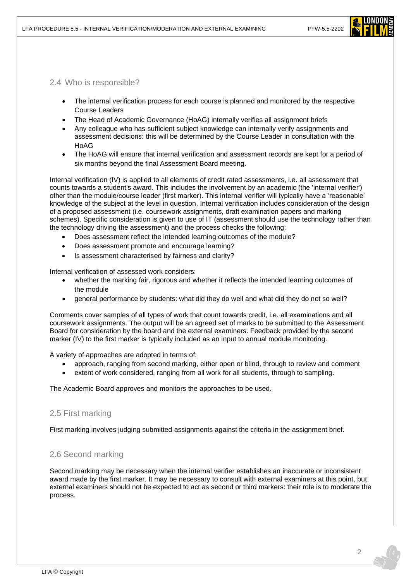

2.4 Who is responsible?

- The internal verification process for each course is planned and monitored by the respective Course Leaders
- The Head of Academic Governance (HoAG) internally verifies all assignment briefs
- Any colleague who has sufficient subject knowledge can internally verify assignments and assessment decisions: this will be determined by the Course Leader in consultation with the HoAG
- The HoAG will ensure that internal verification and assessment records are kept for a period of six months beyond the final Assessment Board meeting.

Internal verification (IV) is applied to all elements of credit rated assessments, i.e. all assessment that counts towards a student's award. This includes the involvement by an academic (the 'internal verifier') other than the module/course leader (first marker). This internal verifier will typically have a 'reasonable' knowledge of the subject at the level in question. Internal verification includes consideration of the design of a proposed assessment (i.e. coursework assignments, draft examination papers and marking schemes). Specific consideration is given to use of IT (assessment should use the technology rather than the technology driving the assessment) and the process checks the following:

- Does assessment reflect the intended learning outcomes of the module?
- Does assessment promote and encourage learning?
- Is assessment characterised by fairness and clarity?

Internal verification of assessed work considers:

- whether the marking fair, rigorous and whether it reflects the intended learning outcomes of the module
- general performance by students: what did they do well and what did they do not so well?

Comments cover samples of all types of work that count towards credit, i.e. all examinations and all coursework assignments. The output will be an agreed set of marks to be submitted to the Assessment Board for consideration by the board and the external examiners. Feedback provided by the second marker (IV) to the first marker is typically included as an input to annual module monitoring.

A variety of approaches are adopted in terms of:

- approach, ranging from second marking, either open or blind, through to review and comment
- extent of work considered, ranging from all work for all students, through to sampling.

The Academic Board approves and monitors the approaches to be used.

## 2.5 First marking

First marking involves judging submitted assignments against the criteria in the assignment brief.

# 2.6 Second marking

Second marking may be necessary when the internal verifier establishes an inaccurate or inconsistent award made by the first marker. It may be necessary to consult with external examiners at this point, but external examiners should not be expected to act as second or third markers: their role is to moderate the process.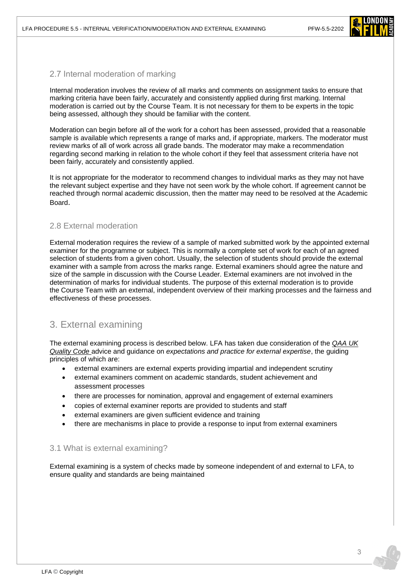

## 2.7 Internal moderation of marking

Internal moderation involves the review of all marks and comments on assignment tasks to ensure that marking criteria have been fairly, accurately and consistently applied during first marking. Internal moderation is carried out by the Course Team. It is not necessary for them to be experts in the topic being assessed, although they should be familiar with the content.

Moderation can begin before all of the work for a cohort has been assessed, provided that a reasonable sample is available which represents a range of marks and, if appropriate, markers. The moderator must review marks of all of work across all grade bands. The moderator may make a recommendation regarding second marking in relation to the whole cohort if they feel that assessment criteria have not been fairly, accurately and consistently applied.

It is not appropriate for the moderator to recommend changes to individual marks as they may not have the relevant subject expertise and they have not seen work by the whole cohort. If agreement cannot be reached through normal academic discussion, then the matter may need to be resolved at the Academic Board.

## 2.8 External moderation

External moderation requires the review of a sample of marked submitted work by the appointed external examiner for the programme or subject. This is normally a complete set of work for each of an agreed selection of students from a given cohort. Usually, the selection of students should provide the external examiner with a sample from across the marks range. External examiners should agree the nature and size of the sample in discussion with the Course Leader. External examiners are not involved in the determination of marks for individual students. The purpose of this external moderation is to provide the Course Team with an external, independent overview of their marking processes and the fairness and effectiveness of these processes.

# 3. External examining

The external examining process is described below. LFA has taken due consideration of the *[QAA](https://www.qaa.ac.uk/quality-code) UK [Quality Code](https://www.qaa.ac.uk/quality-code)* advice and guidance on *expectations and practice for external expertise*, the guiding principles of which are:

- external examiners are external experts providing impartial and independent scrutiny
- external examiners comment on academic standards, student achievement and assessment processes
- there are processes for nomination, approval and engagement of external examiners
- copies of external examiner reports are provided to students and staff
- external examiners are given sufficient evidence and training
- there are mechanisms in place to provide a response to input from external examiners

## 3.1 What is external examining?

External examining is a system of checks made by someone independent of and external to LFA, to ensure quality and standards are being maintained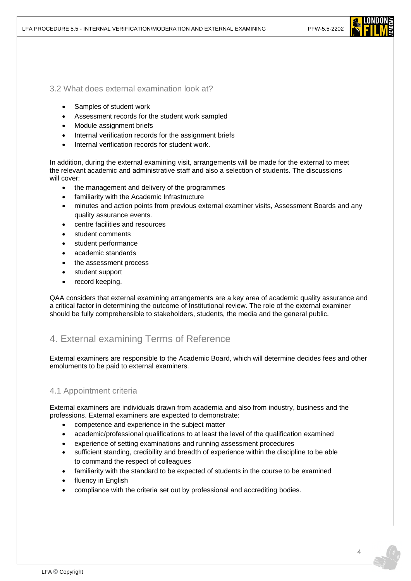

#### 3.2 What does external examination look at?

- Samples of student work
- Assessment records for the student work sampled
- Module assignment briefs
- Internal verification records for the assignment briefs
- Internal verification records for student work.

In addition, during the external examining visit, arrangements will be made for the external to meet the relevant academic and administrative staff and also a selection of students. The discussions will cover:

- the management and delivery of the programmes
- familiarity with the Academic Infrastructure
- minutes and action points from previous external examiner visits, Assessment Boards and any quality assurance events.
- centre facilities and resources
- student comments
- student performance
- academic standards
- the assessment process
- student support
- record keeping.

QAA considers that external examining arrangements are a key area of academic quality assurance and a critical factor in determining the outcome of Institutional review. The role of the external examiner should be fully comprehensible to stakeholders, students, the media and the general public.

# 4. External examining Terms of Reference

External examiners are responsible to the Academic Board, which will determine decides fees and other emoluments to be paid to external examiners.

## 4.1 Appointment criteria

External examiners are individuals drawn from academia and also from industry, business and the professions. External examiners are expected to demonstrate:

- competence and experience in the subject matter
- academic/professional qualifications to at least the level of the qualification examined
- experience of setting examinations and running assessment procedures
- sufficient standing, credibility and breadth of experience within the discipline to be able to command the respect of colleagues
- familiarity with the standard to be expected of students in the course to be examined
- fluency in English
- compliance with the criteria set out by professional and accrediting bodies.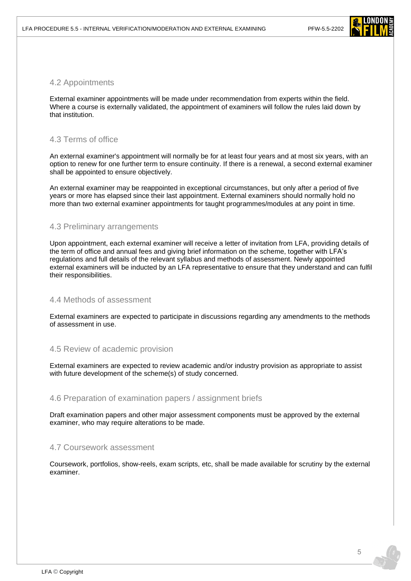

#### 4.2 Appointments

External examiner appointments will be made under recommendation from experts within the field. Where a course is externally validated, the appointment of examiners will follow the rules laid down by that institution.

#### 4.3 Terms of office

An external examiner's appointment will normally be for at least four years and at most six years, with an option to renew for one further term to ensure continuity. If there is a renewal, a second external examiner shall be appointed to ensure objectively.

An external examiner may be reappointed in exceptional circumstances, but only after a period of five years or more has elapsed since their last appointment. External examiners should normally hold no more than two external examiner appointments for taught programmes/modules at any point in time.

#### 4.3 Preliminary arrangements

Upon appointment, each external examiner will receive a letter of invitation from LFA, providing details of the term of office and annual fees and giving brief information on the scheme, together with LFA's regulations and full details of the relevant syllabus and methods of assessment. Newly appointed external examiners will be inducted by an LFA representative to ensure that they understand and can fulfil their responsibilities.

#### 4.4 Methods of assessment

External examiners are expected to participate in discussions regarding any amendments to the methods of assessment in use.

#### 4.5 Review of academic provision

External examiners are expected to review academic and/or industry provision as appropriate to assist with future development of the scheme(s) of study concerned.

#### 4.6 Preparation of examination papers / assignment briefs

Draft examination papers and other major assessment components must be approved by the external examiner, who may require alterations to be made.

#### 4.7 Coursework assessment

Coursework, portfolios, show-reels, exam scripts, etc, shall be made available for scrutiny by the external examiner.